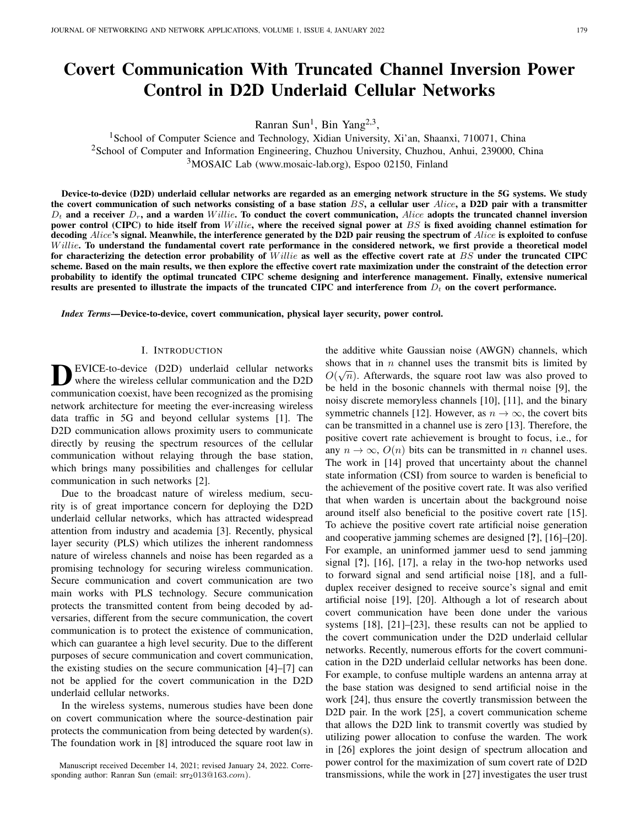# Covert Communication With Truncated Channel Inversion Power Control in D2D Underlaid Cellular Networks

Ranran Sun<sup>1</sup>, Bin Yang<sup>2,3</sup>,

<sup>1</sup>School of Computer Science and Technology, Xidian University, Xi'an, Shaanxi, 710071, China <sup>2</sup>School of Computer and Information Engineering, Chuzhou University, Chuzhou, Anhui, 239000, China <sup>3</sup>MOSAIC Lab (www.mosaic-lab.org), Espoo 02150, Finland

Device-to-device (D2D) underlaid cellular networks are regarded as an emerging network structure in the 5G systems. We study the covert communication of such networks consisting of a base station  $BS$ , a cellular user  $Alice$ , a D2D pair with a transmitter  $D_t$  and a receiver  $D_r$ , and a warden Willie. To conduct the covert communication, Alice adopts the truncated channel inversion power control (CIPC) to hide itself from  $Willie$ , where the received signal power at  $BS$  is fixed avoiding channel estimation for decoding  $Alice$ 's signal. Meanwhile, the interference generated by the D2D pair reusing the spectrum of  $Alice$  is exploited to confuse W illie. To understand the fundamental covert rate performance in the considered network, we first provide a theoretical model for characterizing the detection error probability of *Willie* as well as the effective covert rate at  $BS$  under the truncated CIPC scheme. Based on the main results, we then explore the effective covert rate maximization under the constraint of the detection error probability to identify the optimal truncated CIPC scheme designing and interference management. Finally, extensive numerical results are presented to illustrate the impacts of the truncated CIPC and interference from  $D_t$  on the covert performance.

*Index Terms*—Device-to-device, covert communication, physical layer security, power control.

#### I. INTRODUCTION

**D** EVICE-to-device (D2D) underlaid cellular networks<br>where the wireless cellular communication and the D2D<br>communication coexist, have been recognized as the promising EVICE-to-device (D2D) underlaid cellular networks where the wireless cellular communication and the D2D network architecture for meeting the ever-increasing wireless data traffic in 5G and beyond cellular systems [1]. The D2D communication allows proximity users to communicate directly by reusing the spectrum resources of the cellular communication without relaying through the base station, which brings many possibilities and challenges for cellular communication in such networks [2].

Due to the broadcast nature of wireless medium, security is of great importance concern for deploying the D2D underlaid cellular networks, which has attracted widespread attention from industry and academia [3]. Recently, physical layer security (PLS) which utilizes the inherent randomness nature of wireless channels and noise has been regarded as a promising technology for securing wireless communication. Secure communication and covert communication are two main works with PLS technology. Secure communication protects the transmitted content from being decoded by adversaries, different from the secure communication, the covert communication is to protect the existence of communication, which can guarantee a high level security. Due to the different purposes of secure communication and covert communication, the existing studies on the secure communication [4]–[7] can not be applied for the covert communication in the D2D underlaid cellular networks.

In the wireless systems, numerous studies have been done on covert communication where the source-destination pair protects the communication from being detected by warden(s). The foundation work in [8] introduced the square root law in the additive white Gaussian noise (AWGN) channels, which shows that in *n* channel uses the transmit bits is limited by  $\Omega(\sqrt{N})$  $O(\sqrt{n})$ . Afterwards, the square root law was also proved to be held in the bosonic channels with thermal noise [9], the noisy discrete memoryless channels [10], [11], and the binary symmetric channels [12]. However, as  $n \to \infty$ , the covert bits can be transmitted in a channel use is zero [13]. Therefore, the positive covert rate achievement is brought to focus, i.e., for any  $n \to \infty$ ,  $O(n)$  bits can be transmitted in n channel uses. The work in [14] proved that uncertainty about the channel state information (CSI) from source to warden is beneficial to the achievement of the positive covert rate. It was also verified that when warden is uncertain about the background noise around itself also beneficial to the positive covert rate [15]. To achieve the positive covert rate artificial noise generation and cooperative jamming schemes are designed [?], [16]–[20]. For example, an uninformed jammer uesd to send jamming signal [?], [16], [17], a relay in the two-hop networks used to forward signal and send artificial noise [18], and a fullduplex receiver designed to receive source's signal and emit artificial noise [19], [20]. Although a lot of research about covert communication have been done under the various systems [18], [21]–[23], these results can not be applied to the covert communication under the D2D underlaid cellular networks. Recently, numerous efforts for the covert communication in the D2D underlaid cellular networks has been done. For example, to confuse multiple wardens an antenna array at the base station was designed to send artificial noise in the work [24], thus ensure the covertly transmission between the D2D pair. In the work [25], a covert communication scheme that allows the D2D link to transmit covertly was studied by utilizing power allocation to confuse the warden. The work in [26] explores the joint design of spectrum allocation and power control for the maximization of sum covert rate of D2D transmissions, while the work in [27] investigates the user trust

Manuscript received December 14, 2021; revised January 24, 2022. Corresponding author: Ranran Sun (email: srr2013@163.com).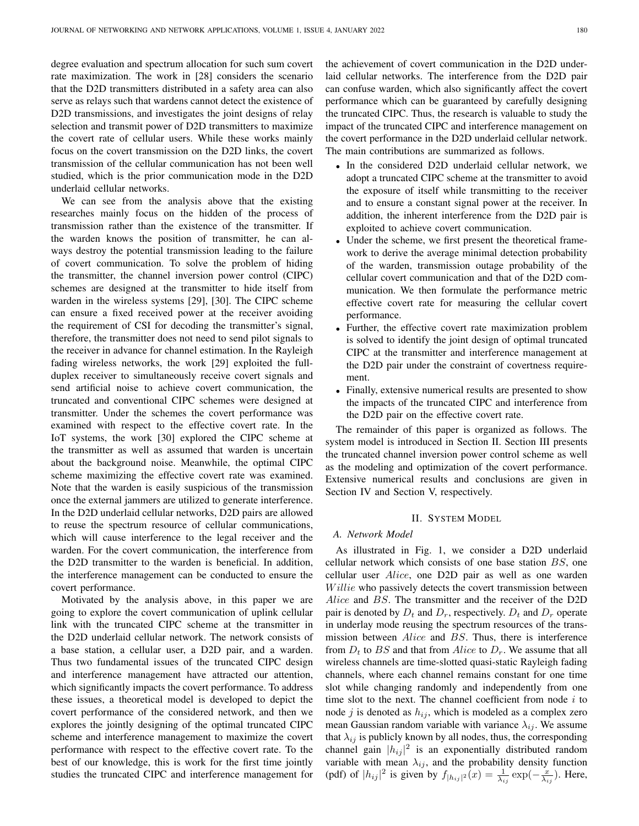degree evaluation and spectrum allocation for such sum covert rate maximization. The work in [28] considers the scenario that the D2D transmitters distributed in a safety area can also serve as relays such that wardens cannot detect the existence of D2D transmissions, and investigates the joint designs of relay selection and transmit power of D2D transmitters to maximize the covert rate of cellular users. While these works mainly focus on the covert transmission on the D2D links, the covert transmission of the cellular communication has not been well studied, which is the prior communication mode in the D2D underlaid cellular networks.

We can see from the analysis above that the existing researches mainly focus on the hidden of the process of transmission rather than the existence of the transmitter. If the warden knows the position of transmitter, he can always destroy the potential transmission leading to the failure of covert communication. To solve the problem of hiding the transmitter, the channel inversion power control (CIPC) schemes are designed at the transmitter to hide itself from warden in the wireless systems [29], [30]. The CIPC scheme can ensure a fixed received power at the receiver avoiding the requirement of CSI for decoding the transmitter's signal, therefore, the transmitter does not need to send pilot signals to the receiver in advance for channel estimation. In the Rayleigh fading wireless networks, the work [29] exploited the fullduplex receiver to simultaneously receive covert signals and send artificial noise to achieve covert communication, the truncated and conventional CIPC schemes were designed at transmitter. Under the schemes the covert performance was examined with respect to the effective covert rate. In the IoT systems, the work [30] explored the CIPC scheme at the transmitter as well as assumed that warden is uncertain about the background noise. Meanwhile, the optimal CIPC scheme maximizing the effective covert rate was examined. Note that the warden is easily suspicious of the transmission once the external jammers are utilized to generate interference. In the D2D underlaid cellular networks, D2D pairs are allowed to reuse the spectrum resource of cellular communications, which will cause interference to the legal receiver and the warden. For the covert communication, the interference from the D2D transmitter to the warden is beneficial. In addition, the interference management can be conducted to ensure the covert performance.

Motivated by the analysis above, in this paper we are going to explore the covert communication of uplink cellular link with the truncated CIPC scheme at the transmitter in the D2D underlaid cellular network. The network consists of a base station, a cellular user, a D2D pair, and a warden. Thus two fundamental issues of the truncated CIPC design and interference management have attracted our attention, which significantly impacts the covert performance. To address these issues, a theoretical model is developed to depict the covert performance of the considered network, and then we explores the jointly designing of the optimal truncated CIPC scheme and interference management to maximize the covert performance with respect to the effective covert rate. To the best of our knowledge, this is work for the first time jointly studies the truncated CIPC and interference management for the achievement of covert communication in the D2D underlaid cellular networks. The interference from the D2D pair can confuse warden, which also significantly affect the covert performance which can be guaranteed by carefully designing the truncated CIPC. Thus, the research is valuable to study the impact of the truncated CIPC and interference management on the covert performance in the D2D underlaid cellular network. The main contributions are summarized as follows.

- In the considered D2D underlaid cellular network, we adopt a truncated CIPC scheme at the transmitter to avoid the exposure of itself while transmitting to the receiver and to ensure a constant signal power at the receiver. In addition, the inherent interference from the D2D pair is exploited to achieve covert communication.
- Under the scheme, we first present the theoretical framework to derive the average minimal detection probability of the warden, transmission outage probability of the cellular covert communication and that of the D2D communication. We then formulate the performance metric effective covert rate for measuring the cellular covert performance.
- Further, the effective covert rate maximization problem is solved to identify the joint design of optimal truncated CIPC at the transmitter and interference management at the D2D pair under the constraint of covertness requirement.
- Finally, extensive numerical results are presented to show the impacts of the truncated CIPC and interference from the D2D pair on the effective covert rate.

The remainder of this paper is organized as follows. The system model is introduced in Section II. Section III presents the truncated channel inversion power control scheme as well as the modeling and optimization of the covert performance. Extensive numerical results and conclusions are given in Section IV and Section V, respectively.

## II. SYSTEM MODEL

# *A. Network Model*

As illustrated in Fig. 1, we consider a D2D underlaid cellular network which consists of one base station BS, one cellular user Alice, one D2D pair as well as one warden Willie who passively detects the covert transmission between Alice and BS. The transmitter and the receiver of the D2D pair is denoted by  $D_t$  and  $D_r$ , respectively.  $D_t$  and  $D_r$  operate in underlay mode reusing the spectrum resources of the transmission between Alice and BS. Thus, there is interference from  $D_t$  to BS and that from Alice to  $D_r$ . We assume that all wireless channels are time-slotted quasi-static Rayleigh fading channels, where each channel remains constant for one time slot while changing randomly and independently from one time slot to the next. The channel coefficient from node  $i$  to node j is denoted as  $h_{ij}$ , which is modeled as a complex zero mean Gaussian random variable with variance  $\lambda_{ij}$ . We assume that  $\lambda_{ij}$  is publicly known by all nodes, thus, the corresponding channel gain  $|h_{ij}|^2$  is an exponentially distributed random variable with mean  $\lambda_{ij}$ , and the probability density function (pdf) of  $|h_{ij}|^2$  is given by  $f_{|h_{ij}|^2}(x) = \frac{1}{\lambda_{ij}} \exp(-\frac{x}{\lambda_{ij}})$ . Here,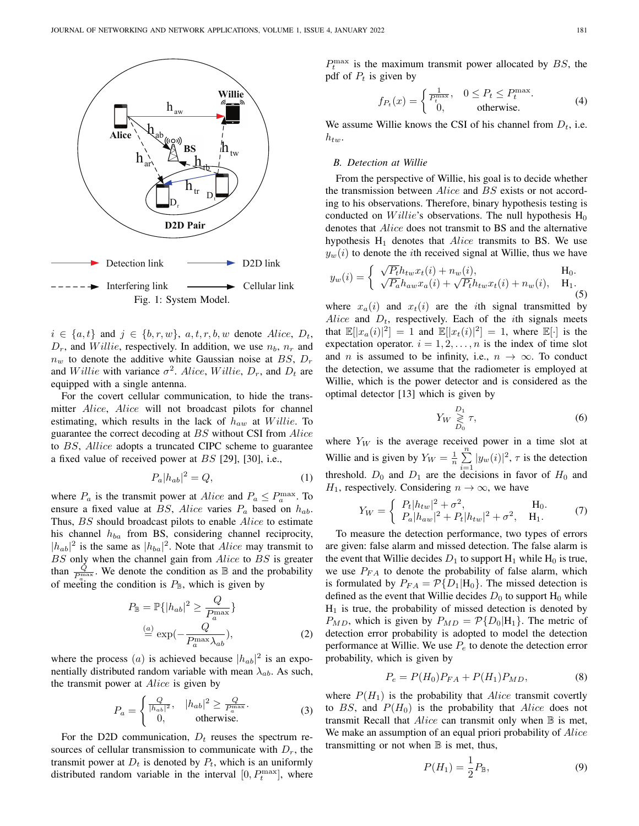

 $i \in \{a, t\}$  and  $j \in \{b, r, w\}$ ,  $a, t, r, b, w$  denote Alice,  $D_t$ ,  $D_r$ , and *Willie*, respectively. In addition, we use  $n_b$ ,  $n_r$  and  $n_w$  to denote the additive white Gaussian noise at BS,  $D_r$ and *Willie* with variance  $\sigma^2$ . Alice, *Willie*,  $D_r$ , and  $D_t$  are equipped with a single antenna.

For the covert cellular communication, to hide the transmitter *Alice*, *Alice* will not broadcast pilots for channel estimating, which results in the lack of  $h_{aw}$  at Willie. To guarantee the correct decoding at BS without CSI from Alice to BS, Allice adopts a truncated CIPC scheme to guarantee a fixed value of received power at  $BS$  [29], [30], i.e.,

$$
P_a|h_{ab}|^2 = Q,\t\t(1)
$$

where  $P_a$  is the transmit power at *Alice* and  $P_a \n\t\le P_a^{\max}$ . To ensure a fixed value at BS, Alice varies  $P_a$  based on  $h_{ab}$ . Thus, BS should broadcast pilots to enable Alice to estimate his channel  $h_{ba}$  from BS, considering channel reciprocity,  $|h_{ab}|^2$  is the same as  $|h_{ba}|^2$ . Note that *Alice* may transmit to BS only when the channel gain from Alice to BS is greater than  $\frac{\hat{Q}}{P_n^{\max}}$ . We denote the condition as  $\mathbb B$  and the probability of meeting the condition is  $P_{\mathbb{B}}$ , which is given by

$$
P_{\mathbb{B}} = \mathbb{P}\{|h_{ab}|^2 \ge \frac{Q}{P_a^{\max}}\}
$$
  
\n
$$
\stackrel{(a)}{=} \exp(-\frac{Q}{P_a^{\max}\lambda_{ab}}),
$$
\n(2)

where the process (*a*) is achieved because  $|h_{ab}|^2$  is an exponentially distributed random variable with mean  $\lambda_{ab}$ . As such, the transmit power at Alice is given by

$$
P_a = \begin{cases} \frac{Q}{|h_{ab}|^2}, & |h_{ab}|^2 \ge \frac{Q}{P_a^{\max}}\\ 0, & \text{otherwise.} \end{cases}
$$
 (3)

For the D2D communication,  $D_t$  reuses the spectrum resources of cellular transmission to communicate with  $D_r$ , the transmit power at  $D_t$  is denoted by  $P_t$ , which is an uniformly distributed random variable in the interval  $[0, P_t^{\text{max}}]$ , where

 $P_t^{\text{max}}$  is the maximum transmit power allocated by BS, the pdf of  $P_t$  is given by

$$
f_{P_t}(x) = \begin{cases} \frac{1}{P_t^{\max}}, & 0 \le P_t \le P_t^{\max}.\\ 0, & \text{otherwise.} \end{cases}
$$
 (4)

We assume Willie knows the CSI of his channel from  $D_t$ , i.e.  $h_{tw}$ .

# *B. Detection at Willie*

 $\bar{Y}$ 

From the perspective of Willie, his goal is to decide whether the transmission between Alice and BS exists or not according to his observations. Therefore, binary hypothesis testing is conducted on *Willie's* observations. The null hypothesis  $H_0$ denotes that Alice does not transmit to BS and the alternative hypothesis  $H_1$  denotes that  $Alice$  transmits to BS. We use  $y_w(i)$  to denote the *i*th received signal at Willie, thus we have

$$
y_w(i) = \begin{cases} \sqrt{P_t} h_{tw} x_t(i) + n_w(i), & \text{H}_0. \\ \sqrt{P_a} h_{aw} x_a(i) + \sqrt{P_t} h_{tw} x_t(i) + n_w(i), & \text{H}_1. \end{cases}
$$
(5)

where  $x_a(i)$  and  $x_t(i)$  are the *i*th signal transmitted by Alice and  $D_t$ , respectively. Each of the *i*th signals meets that  $\mathbb{E}[|x_a(i)|^2] = 1$  and  $\mathbb{E}[|x_t(i)|^2] = 1$ , where  $\mathbb{E}[\cdot]$  is the expectation operator.  $i = 1, 2, ..., n$  is the index of time slot and *n* is assumed to be infinity, i.e.,  $n \to \infty$ . To conduct the detection, we assume that the radiometer is employed at Willie, which is the power detector and is considered as the optimal detector [13] which is given by

$$
Y_W \underset{D_0}{\geq} \tau,\tag{6}
$$

where  $Y_W$  is the average received power in a time slot at Willie and is given by  $Y_W = \frac{1}{n} \sum_{n=1}^n$  $\sum_{i=1} |y_w(i)|^2$ ,  $\tau$  is the detection threshold.  $D_0$  and  $D_1$  are the decisions in favor of  $H_0$  and  $H_1$ , respectively. Considering  $n \to \infty$ , we have

$$
V_W = \begin{cases} P_t |h_{tw}|^2 + \sigma^2, & \text{H}_0. \\ P_a |h_{aw}|^2 + P_t |h_{tw}|^2 + \sigma^2, & \text{H}_1. \end{cases}
$$
(7)

To measure the detection performance, two types of errors are given: false alarm and missed detection. The false alarm is the event that Willie decides  $D_1$  to support  $H_1$  while  $H_0$  is true, we use  $P_{FA}$  to denote the probability of false alarm, which is formulated by  $P_{FA} = \mathcal{P}{D_1|H_0}$ . The missed detection is defined as the event that Willie decides  $D_0$  to support  $H_0$  while  $H<sub>1</sub>$  is true, the probability of missed detection is denoted by  $P_{MD}$ , which is given by  $P_{MD} = \mathcal{P}{D_0|H_1}$ . The metric of detection error probability is adopted to model the detection performance at Willie. We use  $P_e$  to denote the detection error probability, which is given by

$$
P_e = P(H_0)P_{FA} + P(H_1)P_{MD},\tag{8}
$$

where  $P(H_1)$  is the probability that *Alice* transmit covertly to BS, and  $P(H_0)$  is the probability that Alice does not transmit Recall that  $Alice$  can transmit only when  $\mathbb B$  is met, We make an assumption of an equal priori probability of Alice transmitting or not when  $\mathbb B$  is met, thus,

$$
P(H_1) = \frac{1}{2} P_{\mathbb{B}},
$$
\n(9)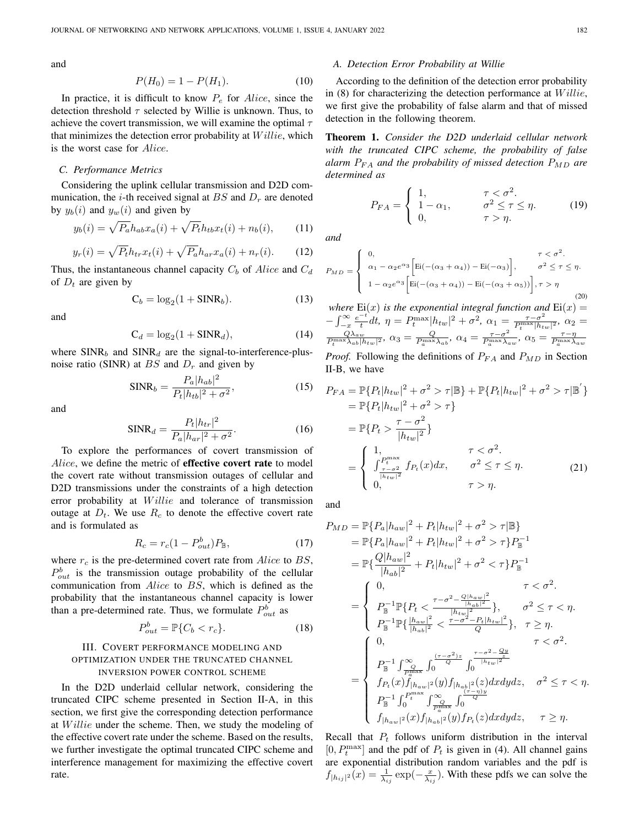and

$$
P(H_0) = 1 - P(H_1). \tag{10}
$$

In practice, it is difficult to know  $P_e$  for Alice, since the detection threshold  $\tau$  selected by Willie is unknown. Thus, to achieve the covert transmission, we will examine the optimal  $\tau$ that minimizes the detection error probability at  $Willie$ , which is the worst case for Alice.

#### *C. Performance Metrics*

Considering the uplink cellular transmission and D2D communication, the *i*-th received signal at  $BS$  and  $D<sub>r</sub>$  are denoted by  $y_b(i)$  and  $y_w(i)$  and given by

$$
y_b(i) = \sqrt{P_a} h_{ab} x_a(i) + \sqrt{P_t} h_{tb} x_t(i) + n_b(i), \qquad (11)
$$

$$
y_r(i) = \sqrt{P_t} h_{tr} x_t(i) + \sqrt{P_a} h_{ar} x_a(i) + n_r(i). \tag{12}
$$

Thus, the instantaneous channel capacity  $C_b$  of Alice and  $C_d$ of  $D_t$  are given by

$$
C_b = \log_2(1 + \text{SINR}_b). \tag{13}
$$

and

$$
C_d = \log_2(1 + \text{SINR}_d),\tag{14}
$$

where  $SINR_b$  and  $SINR_d$  are the signal-to-interference-plusnoise ratio (SINR) at  $BS$  and  $D<sub>r</sub>$  and given by

$$
SINR_b = \frac{P_a |h_{ab}|^2}{P_t |h_{tb}|^2 + \sigma^2},
$$
\n(15)

and

$$
SINR_d = \frac{P_t|h_{tr}|^2}{P_a|h_{ar}|^2 + \sigma^2}.
$$
 (16)

To explore the performances of covert transmission of Alice, we define the metric of effective covert rate to model the covert rate without transmission outages of cellular and D2D transmissions under the constraints of a high detection error probability at *Willie* and tolerance of transmission outage at  $D_t$ . We use  $R_c$  to denote the effective covert rate and is formulated as

$$
R_c = r_c (1 - P_{out}^b) P_{\mathbb{B}},\tag{17}
$$

where  $r_c$  is the pre-determined covert rate from  $Alice$  to BS,  $P_{out}^{b}$  is the transmission outage probability of the cellular communication from Alice to BS, which is defined as the probability that the instantaneous channel capacity is lower than a pre-determined rate. Thus, we formulate  $P_{out}^b$  as

$$
P_{out}^b = \mathbb{P}\{C_b < r_c\}.\tag{18}
$$

# III. COVERT PERFORMANCE MODELING AND OPTIMIZATION UNDER THE TRUNCATED CHANNEL INVERSION POWER CONTROL SCHEME

In the D2D underlaid cellular network, considering the truncated CIPC scheme presented in Section II-A, in this section, we first give the corresponding detection performance at Willie under the scheme. Then, we study the modeling of the effective covert rate under the scheme. Based on the results, we further investigate the optimal truncated CIPC scheme and interference management for maximizing the effective covert rate.

#### *A. Detection Error Probability at Willie*

According to the definition of the detection error probability in  $(8)$  for characterizing the detection performance at  $Willie$ , we first give the probability of false alarm and that of missed detection in the following theorem.

Theorem 1. *Consider the D2D underlaid cellular network with the truncated CIPC scheme, the probability of false alarm*  $P_{FA}$  *and the probability of missed detection*  $P_{MD}$  *are determined as*

$$
P_{FA} = \begin{cases} 1, & \tau < \sigma^2. \\ 1 - \alpha_1, & \sigma^2 \le \tau \le \eta. \\ 0, & \tau > \eta. \end{cases} \tag{19}
$$

*and*

 $\overline{P}$ 

$$
C_{MD} = \begin{cases} 0, & \tau < \sigma^2. \\ \alpha_1 - \alpha_2 e^{\alpha_3} \Big[ \text{Ei}(-(\alpha_3 + \alpha_4)) - \text{Ei}(-\alpha_3) \Big], & \sigma^2 \le \tau \le \eta. \\ 1 - \alpha_2 e^{\alpha_3} \Big[ \text{Ei}(-(\alpha_3 + \alpha_4)) - \text{Ei}(-(\alpha_3 + \alpha_5)) \Big], \tau > \eta \end{cases}
$$
(20)

*where*  $Ei(x)$  *is the exponential integral function and*  $Ei(x) =$  $-\int_{-x}^{\infty} \frac{e^{-t}}{t}$  $\frac{1}{t} dt$ ,  $\eta = P_t^{\max} |h_{tw}|^2 + \sigma^2$ ,  $\alpha_1 = \frac{\tau - \sigma^2}{P_t^{\max} |h_{tw}|^2}$ ,  $\alpha_2 =$  $\frac{Q\lambda_{aw}}{P_t^{\max}\lambda_{ab}|h_{tw}|^2}$ ,  $\alpha_3 = \frac{Q}{P_a^{\max}\lambda_{ab}}$ ,  $\alpha_4 = \frac{\tau-\sigma^2}{P_a^{\max}\lambda_a}$  $\frac{\tau - \sigma^2}{P_a^{\max} \lambda_{aw}}, \ \alpha_5 = \frac{\tau - \eta}{P_a^{\max} \lambda_{aw}}$ *Proof.* Following the definitions of  $P_{FA}$  and  $P_{MD}$  in Section

II-B, we have

$$
P_{FA} = \mathbb{P}\{P_t|h_{tw}|^2 + \sigma^2 > \tau | \mathbb{B}\} + \mathbb{P}\{P_t|h_{tw}|^2 + \sigma^2 > \tau | \mathbb{B}'\}
$$
  
\n
$$
= \mathbb{P}\{P_t|h_{tw}|^2 + \sigma^2 > \tau\}
$$
  
\n
$$
= \mathbb{P}\{P_t > \frac{\tau - \sigma^2}{|h_{tw}|^2}\}
$$
  
\n
$$
= \begin{cases} 1, & \tau < \sigma^2. \\ \int_{\frac{\tau - \sigma^2}{|h_{tw}|^2}}^{\frac{\tau}{|h_{tw}|^2}} f_{Pt}(x) dx, & \sigma^2 \le \tau \le \eta. \\ 0, & \tau > \eta. \end{cases}
$$
 (21)

and

$$
P_{MD} = \mathbb{P}\{P_a|h_{aw}|^2 + P_t|h_{tw}|^2 + \sigma^2 > \tau|\mathbb{B}\}\
$$
  
\n
$$
= \mathbb{P}\{P_a|h_{aw}|^2 + P_t|h_{tw}|^2 + \sigma^2 > \tau\}P_{\mathbb{B}}^{-1}
$$
  
\n
$$
= \mathbb{P}\{\frac{Q|h_{aw}|^2}{|h_{ab}|^2} + P_t|h_{tw}|^2 + \sigma^2 < \tau\}P_{\mathbb{B}}^{-1}
$$
  
\n
$$
= \begin{cases}\n0, & \tau < \sigma^2.\n\end{cases}
$$
  
\n
$$
P_{\mathbb{B}}^{-1}\mathbb{P}\{P_t < \frac{\tau - \sigma^2 - \frac{Q|h_{aw}|^2}{|h_{ub}|^2}}{\frac{|h_{tw}|^2}{|h_{ub}|^2}}\}, \quad \sigma^2 \le \tau < \eta.
$$
  
\n
$$
P_{\mathbb{B}}^{-1}\mathbb{P}\{\frac{|h_{aw}|^2}{|h_{ab}|^2} < \frac{\tau - \sigma^2 - P_t|h_{tw}|^2}{Q}\}, \quad \tau \ge \eta.
$$
  
\n
$$
P_{\mathbb{B}}^{-1}\int_{\frac{P}{P_{\text{max}}}}^{\infty} \int_{0}^{\frac{(\tau - \sigma^2)z}{Q}} \int_{0}^{\frac{\tau - \sigma^2 - Qy}{|h_{tw}|^2}} \sigma^2 \le \tau < \eta.
$$
  
\n
$$
P_{\mathbb{B}}^{-1}\int_{\frac{P}{P_{\text{max}}}}^{\infty} \int_{0}^{\frac{(\tau - \sigma^2)z}{Q}} \int_{0}^{\frac{\tau - \sigma^2 - Qy}{|h_{tw}|^2}} \sigma^2 \le \tau < \eta.
$$
  
\n
$$
P_{\mathbb{B}}^{-1}\int_{0}^{P_{\text{max}}}\int_{\frac{P}{P_{\text{max}}}}^{\infty} \int_{0}^{\frac{(\tau - \eta)y}{Q}} \sigma^2
$$
  
\n
$$
f_{|h_{aw}|^2}(x)f_{|h_{ab}|^2}(y)f_{P_t}(z)dxdydz, \quad \tau \ge \eta.
$$

Recall that  $P_t$  follows uniform distribution in the interval [0,  $P_t^{\text{max}}$ ] and the pdf of  $P_t$  is given in (4). All channel gains are exponential distribution random variables and the pdf is  $f_{|h_{ij}|^2}(x) = \frac{1}{\lambda_{ij}} \exp(-\frac{x}{\lambda_{ij}})$ . With these pdfs we can solve the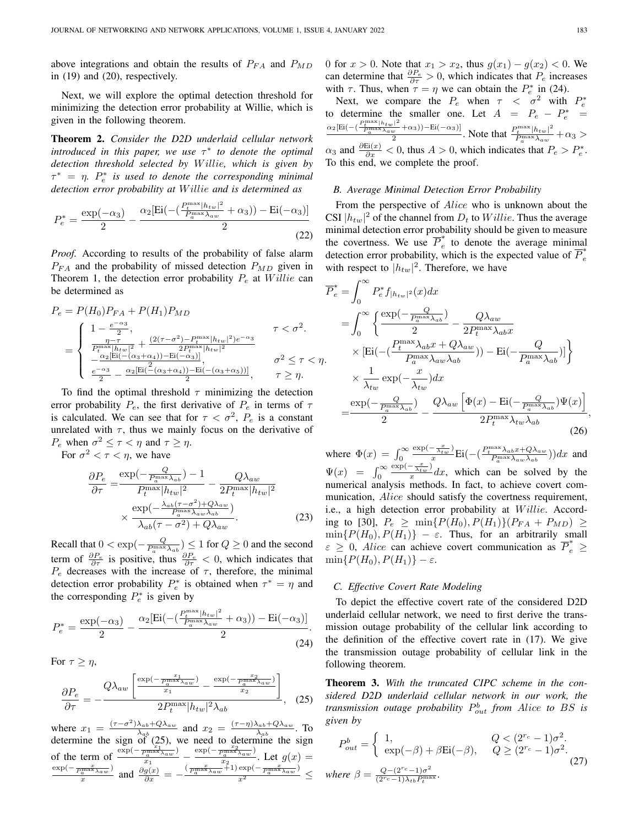above integrations and obtain the results of  $P_{FA}$  and  $P_{MD}$ in (19) and (20), respectively.

Next, we will explore the optimal detection threshold for minimizing the detection error probability at Willie, which is given in the following theorem.

Theorem 2. *Consider the D2D underlaid cellular network introduced in this paper, we use* τ ∗ *to denote the optimal detection threshold selected by* W illie*, which is given by*  $\tau^* = \eta$ .  $P_e^*$  is used to denote the corresponding minimal *detection error probability at* W illie *and is determined as*

$$
P_e^* = \frac{\exp(-\alpha_3)}{2} - \frac{\alpha_2 [\text{Ei}(-(\frac{P_t^{\text{max}} |h_{tw}|^2}{P_a^{\text{max}} \lambda_{aw}} + \alpha_3)) - \text{Ei}(-\alpha_3)]}{2}
$$
(22)

*Proof.* According to results of the probability of false alarm  $P_{FA}$  and the probability of missed detection  $P_{MD}$  given in Theorem 1, the detection error probability  $P_e$  at  $Willie$  can be determined as

$$
P_e = P(H_0)P_{FA} + P(H_1)P_{MD}
$$
  
= 
$$
\begin{cases} 1 - \frac{e^{-\alpha_3}}{2}, & \tau < \sigma^2. \\ \frac{\eta - \tau}{P_t^{\max}|h_{tw}|^2} + \frac{(2(\tau - \sigma^2) - P_t^{\max}|h_{tw}|^2)e^{-\alpha_3}}{2P_t^{\max}|h_{tw}|^2} \\ -\frac{\alpha_2[\text{Ei}(-(\alpha_3 + \alpha_4)) - \text{Ei}(-\alpha_3)]}{2}, & \sigma^2 \le \tau < \eta. \\ \frac{e^{-\alpha_3}}{2} - \frac{\alpha_2[\text{Ei}(-(\alpha_3 + \alpha_4)) - \text{Ei}(-(\alpha_3 + \alpha_5))] }{2}, & \tau \ge \eta. \end{cases}
$$

To find the optimal threshold  $\tau$  minimizing the detection error probability  $P_e$ , the first derivative of  $P_e$  in terms of  $\tau$ is calculated. We can see that for  $\tau < \sigma^2$ ,  $P_e$  is a constant unrelated with  $\tau$ , thus we mainly focus on the derivative of  $P_e$  when  $\sigma^2 \leq \tau < \eta$  and  $\tau \geq \eta$ .

For  $\sigma^2 < \tau < \eta$ , we have

$$
\frac{\partial P_e}{\partial \tau} = \frac{\exp(-\frac{Q}{P_a^{\max}\lambda_{ab}}) - 1}{P_t^{\max}|h_{tw}|^2} - \frac{Q\lambda_{aw}}{2P_t^{\max}|h_{tw}|^2} \times \frac{\exp(-\frac{\lambda_{ab}(\tau - \sigma^2) + Q\lambda_{aw}}{P_a^{\max}\lambda_{aw}\lambda_{ab}})}{\lambda_{ab}(\tau - \sigma^2) + Q\lambda_{aw}}.
$$
\n(23)

Recall that  $0 < \exp(-\frac{Q}{P_a^{\max}\lambda_{ab}}) \leq 1$  for  $Q \geq 0$  and the second term of  $\frac{\partial P_e}{\partial \tau}$  is positive, thus  $\frac{\partial P_e}{\partial \tau} < 0$ , which indicates that  $P_e$  decreases with the increase of  $\tau$ , therefore, the minimal detection error probability  $P_e^*$  is obtained when  $\tau^* = \eta$  and the corresponding  $P_e^*$  is given by

$$
P_e^* = \frac{\exp(-\alpha_3)}{2} - \frac{\alpha_2 [\text{Ei}(-(\frac{P_t^{\text{max}} |h_{tw}|^2}{P_a^{\text{max}} \lambda_{aw}} + \alpha_3)) - \text{Ei}(-\alpha_3)]}{2}.
$$
\n(24)

For  $\tau \geq \eta$ ,

$$
\frac{\partial P_e}{\partial \tau} = -\frac{Q\lambda_{aw} \left[ \frac{\exp(-\frac{x_1}{P_a^{\max}\lambda_{aw}})}{x_1} - \frac{\exp(-\frac{x_2}{P_a^{\max}\lambda_{aw}})}{x_2} \right]}{2P_t^{\max}|h_{tw}|^2 \lambda_{ab}}, \quad (25)
$$

where  $x_1 = \frac{(\tau - \sigma^2)\lambda_{ab} + Q\lambda_{aw}}{\lambda_{ab}}$  $\frac{\lambda_{ab} + Q\lambda_{aw}}{\lambda_{ab}}$  and  $x_2 = \frac{(\tau - \eta)\lambda_{ab} + Q\lambda_{aw}}{\lambda_{ab}}$  $\frac{\lambda_{ab} + Q \lambda_{aw}}{\lambda_{ab}}$ . To determine the sign of (25), we need to determine the sign of the term of  $\frac{\exp(-\frac{x_1}{P_a^{max}\lambda_a w})}{x_1}$  $\frac{\frac{x_1}{a}\frac{y_2}{b}\frac{y_1}{b}\frac{y_2}{b}\frac{y_1}{c}\frac{y_2}{c}\frac{y_1}{c}\frac{y_2}{c}\frac{y_1}{c}\frac{y_2}{c}\frac{y_1}{c}\frac{y_2}{c}\frac{y_1}{c}\frac{y_2}{c}\frac{y_1}{c}\frac{y_2}{c}\frac{y_1}{c}\frac{y_2}{c}\frac{y_1}{c}\frac{y_2}{c}\frac{y_1}{c}\frac{y_1}{c}\frac{y_1}{c}\frac{y_1}{c}\frac{y_1}{c}\frac{y_1}{c}\frac{y_1}{c}\frac{$  $\frac{a}{x_2}$ . Let  $g(x) =$  $\exp(-\frac{x}{P_a^{\max}\lambda_a w})$  $\frac{\frac{x}{a}\frac{x}{\sqrt{a}}}{\frac{x}{a}}$  and  $\frac{\partial g(x)}{\partial x} = -\frac{(\frac{x}{P_a}\frac{x}{\sqrt{a}}\frac{z}{\sqrt{a}}+1)\exp(-\frac{x}{P_a}\frac{x}{\sqrt{a}})}{x^2} \leq$  0 for  $x > 0$ . Note that  $x_1 > x_2$ , thus  $g(x_1) - g(x_2) < 0$ . We can determine that  $\frac{\partial P_e}{\partial \tau} > 0$ , which indicates that  $P_e$  increases with  $\tau$ . Thus, when  $\tau = \eta$  we can obtain the  $P_e^*$  in (24).

Next, we compare the  $P_e$  when  $\tau < \sigma^2$  with  $P_e^*$ to determine the smaller one. Let  $A = P_e - P_e^* =$  $\alpha_2 \left[ \mathrm{Ei}(-(\frac{P_t^{\max}|h_{tw}|^2}{P_a^{\max}\lambda_{aw}}+\alpha_3)) \right] - \mathrm{Ei}(-\alpha_3) \right]$  $\frac{1}{2} \frac{1}{2} + \alpha_3$ ) – Ei(- $\alpha_3$ ). Note that  $\frac{P_t^{\max}|h_{tw}|^2}{P_a^{\max}\lambda_{aw}}$  $\frac{t}{P_a^{\max}\lambda_{aw}} + \alpha_3 >$  $\alpha_3$  and  $\frac{\partial E(i(x))}{\partial x} < 0$ , thus  $A > 0$ , which indicates that  $P_e > P_e^*$ . To this end, we complete the proof.

# *B. Average Minimal Detection Error Probability*

From the perspective of Alice who is unknown about the CSI  $|h_{tw}|^2$  of the channel from  $D_t$  to  $Willie$ . Thus the average minimal detection error probability should be given to measure the covertness. We use  $\overline{P}_e^*$  $\int_{e}^{\infty}$  to denote the average minimal detection error probability, which is the expected value of  $\overline{P}_e^*$ e with respect to  $|h_{tw}|^2$ . Therefore, we have

$$
\overline{P}_e^* = \int_0^\infty P_e^* f_{|h_{tw}|^2}(x) dx \n= \int_0^\infty \left\{ \frac{\exp(-\frac{Q}{P_a^{\max}\lambda_{ab}})}{2} - \frac{Q\lambda_{aw}}{2P_t^{\max}\lambda_{ab}x} \right. \n\times \left[ \text{Ei}\left( -(\frac{P_t^{\max}\lambda_{ab}x + Q\lambda_{aw}}{P_a^{\max}\lambda_{aw}\lambda_{ab}}) \right) - \text{Ei}\left( -\frac{Q}{P_a^{\max}\lambda_{ab}} \right) \right] \right\} \n\times \frac{1}{\lambda_{tw}} \exp(-\frac{x}{\lambda_{tw}}) dx \n= \frac{\exp(-\frac{Q}{P_a^{\max}\lambda_{ab}})}{2} - \frac{Q\lambda_{aw} \left[ \Phi(x) - \text{Ei}\left( -\frac{Q}{P_a^{\max}\lambda_{ab}} \right) \Psi(x) \right]}{2P_t^{\max}\lambda_{tw}\lambda_{ab}},
$$
\n(26)

where  $\Phi(x) = \int_0^\infty$  $\exp(-\frac{x}{\lambda_{tw}})$  $\frac{(-\frac{x}{\lambda_{tw}})}{x}\mathrm{Ei}(-(\frac{P_t^{\max}\lambda_{ab}x+Q\lambda_{aw}}{P_a^{\max}\lambda_{aw}\lambda_{ab}}))dx$  and  $\Psi(x) = \int_0^\infty$  $\exp(-\frac{x}{\lambda_{tw}})$  $\frac{\lambda_{tw}}{x}$  dx, which can be solved by the numerical analysis methods. In fact, to achieve covert communication, Alice should satisfy the covertness requirement, i.e., a high detection error probability at Willie. According to [30],  $P_e \geq \min\{P(H_0), P(H_1)\}(P_{FA} + P_{MD}) \geq$  $\min\{P(H_0), P(H_1)\}$  –  $\varepsilon$ . Thus, for an arbitrarily small  $\varepsilon \geq 0$ , *Alice* can achieve covert communication as  $\overline{P}_e^* \geq$  $\min\{P(H_0), P(H_1)\} - \varepsilon.$ 

# *C. Effective Covert Rate Modeling*

To depict the effective covert rate of the considered D2D underlaid cellular network, we need to first derive the transmission outage probability of the cellular link according to the definition of the effective covert rate in (17). We give the transmission outage probability of cellular link in the following theorem.

Theorem 3. *With the truncated CIPC scheme in the considered D2D underlaid cellular network in our work, the transmission outage probability* P b out *from* Alice *to* BS *is given by*

$$
P_{out}^b = \begin{cases} 1, & Q < (2^{r_c} - 1)\sigma^2. \\ \exp(-\beta) + \beta \text{Ei}(-\beta), & Q \ge (2^{r_c} - 1)\sigma^2. \end{cases}
$$
  
where  $\beta = \frac{Q - (2^{r_c} - 1)\sigma^2}{(2^{r_c} - 1)\lambda_{tb} P_t^{\text{max}}}$ . (27)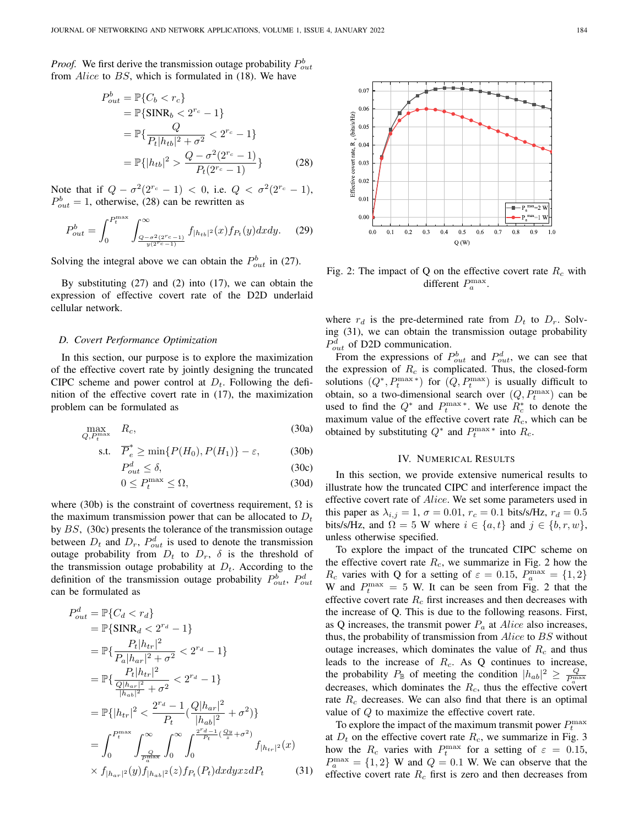*Proof.* We first derive the transmission outage probability  $P_{out}^b$ from Alice to BS, which is formulated in (18). We have

$$
P_{out}^{b} = \mathbb{P}\{C_b < r_c\}
$$
\n
$$
= \mathbb{P}\{\text{SINR}_b < 2^{r_c} - 1\}
$$
\n
$$
= \mathbb{P}\{\frac{Q}{P_t|h_{tb}|^2 + \sigma^2} < 2^{r_c} - 1\}
$$
\n
$$
= \mathbb{P}\{|h_{tb}|^2 > \frac{Q - \sigma^2(2^{r_c} - 1)}{P_t(2^{r_c} - 1)}\}
$$
\n(28)

Note that if  $Q - \sigma^2 (2^{r_c} - 1) < 0$ , i.e.  $Q < \sigma^2 (2^{r_c} - 1)$ ,  $P_{out}^{b} = 1$ , otherwise, (28) can be rewritten as

$$
P_{out}^{b} = \int_{0}^{P_{t}^{\max}} \int_{\frac{Q - \sigma^{2}(2^{r_{c}} - 1)}{y(2^{r_{c}} - 1)}}^{\infty} f_{|h_{tb}|^{2}}(x) f_{P_{t}}(y) dx dy.
$$
 (29)

Solving the integral above we can obtain the  $P_{out}^{b}$  in (27).

By substituting (27) and (2) into (17), we can obtain the expression of effective covert rate of the D2D underlaid cellular network.

#### *D. Covert Performance Optimization*

In this section, our purpose is to explore the maximization of the effective covert rate by jointly designing the truncated CIPC scheme and power control at  $D_t$ . Following the definition of the effective covert rate in (17), the maximization problem can be formulated as

$$
\max_{Q, P_t^{\text{max}}} R_c,
$$
\n(30a)

$$
\text{s.t.} \quad \overline{P}_e^* \ge \min\{P(H_0), P(H_1)\} - \varepsilon,\tag{30b}
$$

$$
P_{out}^d \le \delta,\tag{30c}
$$

$$
0 \le P_t^{\max} \le \Omega,\tag{30d}
$$

where (30b) is the constraint of covertness requirement,  $\Omega$  is the maximum transmission power that can be allocated to  $D_t$ by BS, (30c) presents the tolerance of the transmission outage between  $D_t$  and  $D_r$ ,  $P_{out}^d$  is used to denote the transmission outage probability from  $D_t$  to  $D_r$ ,  $\delta$  is the threshold of the transmission outage probability at  $D_t$ . According to the definition of the transmission outage probability  $P_{out}^b$ ,  $P_{out}^d$ can be formulated as

$$
P_{out}^{d} = \mathbb{P}\{C_{d} < r_{d}\}
$$
\n
$$
= \mathbb{P}\{\text{SINR}_{d} < 2^{r_{d}} - 1\}
$$
\n
$$
= \mathbb{P}\{\frac{P_{t}|h_{tr}|^{2}}{P_{a}|h_{ar}|^{2} + \sigma^{2}} < 2^{r_{d}} - 1\}
$$
\n
$$
= \mathbb{P}\{\frac{P_{t}|h_{tr}|^{2}}{\frac{Q|h_{ar}|^{2}}{|h_{ab}|^{2}} + \sigma^{2}} < 2^{r_{d}} - 1\}
$$
\n
$$
= \mathbb{P}\{|h_{tr}|^{2} < \frac{2^{r_{d}} - 1}{P_{t}}(\frac{Q|h_{ar}|^{2}}{|h_{ab}|^{2}} + \sigma^{2})\}
$$
\n
$$
= \int_{0}^{P_{t}^{\max}} \int_{\frac{Q}{P_{t}^{\max}}}^{\infty} \int_{0}^{\infty} \int_{0}^{\frac{2^{r_{d}} - 1}{P_{t}}(\frac{Q_{y}}{z} + \sigma^{2})} f_{|h_{tr}|^{2}}(x)
$$
\n
$$
\times f_{|h_{ar}|^{2}}(y) f_{|h_{ab}|^{2}}(z) f_{P_{t}}(P_{t}) dx dy x z dP_{t} \tag{31}
$$



Fig. 2: The impact of Q on the effective covert rate  $R_c$  with different  $P_a^{\max}$ .

where  $r_d$  is the pre-determined rate from  $D_t$  to  $D_r$ . Solving (31), we can obtain the transmission outage probability  $P_{out}^d$  of D2D communication.

From the expressions of  $P_{out}^b$  and  $P_{out}^d$ , we can see that the expression of  $R_c$  is complicated. Thus, the closed-form solutions  $(Q^*, P_t^{\max})$  for  $(Q, P_t^{\max})$  is usually difficult to obtain, so a two-dimensional search over  $(Q, P_t^{\max})$  can be used to find the  $Q^*$  and  $P_t^{\max *}$ . We use  $R_c^*$  to denote the maximum value of the effective covert rate  $R_c$ , which can be obtained by substituting  $Q^*$  and  $P_t^{\max*}$  into  $R_c$ .

# IV. NUMERICAL RESULTS

In this section, we provide extensive numerical results to illustrate how the truncated CIPC and interference impact the effective covert rate of Alice. We set some parameters used in this paper as  $\lambda_{i,j} = 1$ ,  $\sigma = 0.01$ ,  $r_c = 0.1$  bits/s/Hz,  $r_d = 0.5$ bits/s/Hz, and  $\Omega = 5$  W where  $i \in \{a, t\}$  and  $j \in \{b, r, w\}$ , unless otherwise specified.

To explore the impact of the truncated CIPC scheme on the effective covert rate  $R_c$ , we summarize in Fig. 2 how the  $R_c$  varies with Q for a setting of  $\varepsilon = 0.15$ ,  $P_a^{\max} = \{1, 2\}$ W and  $P_t^{\text{max}} = 5$  W. It can be seen from Fig. 2 that the effective covert rate  $R_c$  first increases and then decreases with the increase of Q. This is due to the following reasons. First, as Q increases, the transmit power  $P_a$  at Alice also increases, thus, the probability of transmission from *Alice* to BS without outage increases, which dominates the value of  $R_c$  and thus leads to the increase of  $R<sub>c</sub>$ . As Q continues to increase, the probability  $P_{\mathbb{B}}$  of meeting the condition  $|h_{ab}|^2 \geq \frac{Q}{P_a^{\max}}$ decreases, which dominates the  $R_c$ , thus the effective covert rate  $R_c$  decreases. We can also find that there is an optimal value of Q to maximize the effective covert rate.

To explore the impact of the maximum transmit power  $P_t^{\text{max}}$ at  $D_t$  on the effective covert rate  $R_c$ , we summarize in Fig. 3 how the  $R_c$  varies with  $P_t^{\text{max}}$  for a setting of  $\varepsilon = 0.15$ ,  $P_a^{\max} = \{1, 2\}$  W and  $Q = 0.1$  W. We can observe that the effective covert rate  $R_c$  first is zero and then decreases from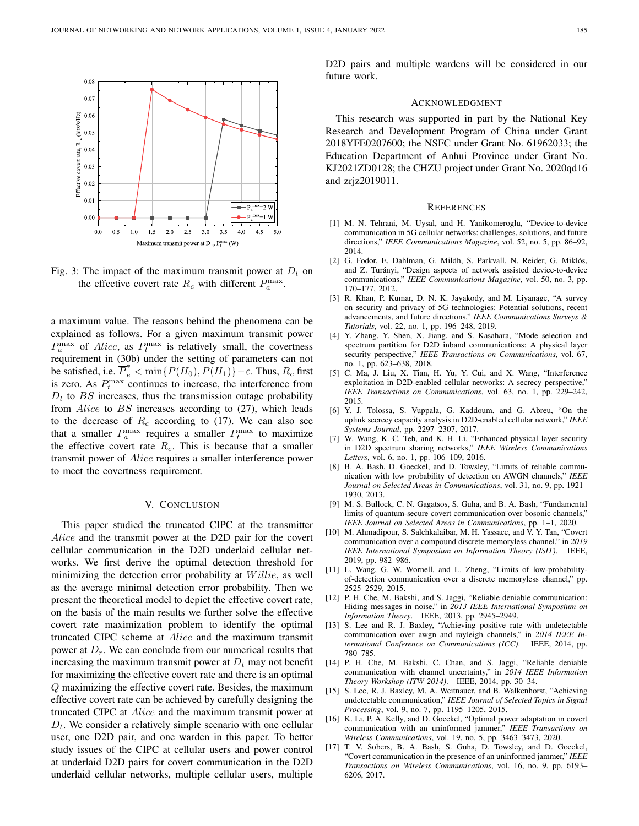

Fig. 3: The impact of the maximum transmit power at  $D_t$  on the effective covert rate  $R_c$  with different  $P_a^{\max}$ .

a maximum value. The reasons behind the phenomena can be explained as follows. For a given maximum transmit power  $P_a^{\text{max}}$  of *Alice*, as  $P_t^{\text{max}}$  is relatively small, the covertness requirement in (30b) under the setting of parameters can not be satisfied, i.e.  $\overline{P}_e^* < \min\{P(H_0), P(H_1)\} - \varepsilon$ . Thus,  $R_c$  first is zero. As  $P_t^{\text{max}}$  continues to increase, the interference from  $D_t$  to BS increases, thus the transmission outage probability from Alice to BS increases according to (27), which leads to the decrease of  $R_c$  according to (17). We can also see that a smaller  $P_a^{\max}$  requires a smaller  $P_t^{\max}$  to maximize the effective covert rate  $R_c$ . This is because that a smaller transmit power of Alice requires a smaller interference power to meet the covertness requirement.

#### V. CONCLUSION

This paper studied the truncated CIPC at the transmitter Alice and the transmit power at the D2D pair for the covert cellular communication in the D2D underlaid cellular networks. We first derive the optimal detection threshold for minimizing the detection error probability at  $Willie$ , as well as the average minimal detection error probability. Then we present the theoretical model to depict the effective covert rate, on the basis of the main results we further solve the effective covert rate maximization problem to identify the optimal truncated CIPC scheme at Alice and the maximum transmit power at  $D<sub>r</sub>$ . We can conclude from our numerical results that increasing the maximum transmit power at  $D_t$  may not benefit for maximizing the effective covert rate and there is an optimal Q maximizing the effective covert rate. Besides, the maximum effective covert rate can be achieved by carefully designing the truncated CIPC at Alice and the maximum transmit power at  $D_t$ . We consider a relatively simple scenario with one cellular user, one D2D pair, and one warden in this paper. To better study issues of the CIPC at cellular users and power control at underlaid D2D pairs for covert communication in the D2D underlaid cellular networks, multiple cellular users, multiple D2D pairs and multiple wardens will be considered in our future work.

#### ACKNOWLEDGMENT

This research was supported in part by the National Key Research and Development Program of China under Grant 2018YFE0207600; the NSFC under Grant No. 61962033; the Education Department of Anhui Province under Grant No. KJ2021ZD0128; the CHZU project under Grant No. 2020qd16 and zrjz2019011.

#### **REFERENCES**

- [1] M. N. Tehrani, M. Uysal, and H. Yanikomeroglu, "Device-to-device communication in 5G cellular networks: challenges, solutions, and future directions," *IEEE Communications Magazine*, vol. 52, no. 5, pp. 86–92, 2014.
- [2] G. Fodor, E. Dahlman, G. Mildh, S. Parkvall, N. Reider, G. Miklós, and Z. Turanyi, "Design aspects of network assisted device-to-device ´ communications," *IEEE Communications Magazine*, vol. 50, no. 3, pp. 170–177, 2012.
- [3] R. Khan, P. Kumar, D. N. K. Jayakody, and M. Liyanage, "A survey on security and privacy of 5G technologies: Potential solutions, recent advancements, and future directions," *IEEE Communications Surveys & Tutorials*, vol. 22, no. 1, pp. 196–248, 2019.
- [4] Y. Zhang, Y. Shen, X. Jiang, and S. Kasahara, "Mode selection and spectrum partition for D2D inband communications: A physical layer security perspective," *IEEE Transactions on Communications*, vol. 67, no. 1, pp. 623–638, 2018.
- [5] C. Ma, J. Liu, X. Tian, H. Yu, Y. Cui, and X. Wang, "Interference exploitation in D2D-enabled cellular networks: A secrecy perspective," *IEEE Transactions on Communications*, vol. 63, no. 1, pp. 229–242, 2015.
- [6] Y. J. Tolossa, S. Vuppala, G. Kaddoum, and G. Abreu, "On the uplink secrecy capacity analysis in D2D-enabled cellular network," *IEEE Systems Journal*, pp. 2297–2307, 2017.
- [7] W. Wang, K. C. Teh, and K. H. Li, "Enhanced physical layer security in D2D spectrum sharing networks," *IEEE Wireless Communications Letters*, vol. 6, no. 1, pp. 106–109, 2016.
- [8] B. A. Bash, D. Goeckel, and D. Towsley, "Limits of reliable communication with low probability of detection on AWGN channels," *IEEE Journal on Selected Areas in Communications*, vol. 31, no. 9, pp. 1921– 1930, 2013.
- [9] M. S. Bullock, C. N. Gagatsos, S. Guha, and B. A. Bash, "Fundamental limits of quantum-secure covert communication over bosonic channels," *IEEE Journal on Selected Areas in Communications*, pp. 1–1, 2020.
- [10] M. Ahmadipour, S. Salehkalaibar, M. H. Yassaee, and V. Y. Tan, "Covert communication over a compound discrete memoryless channel," in *2019 IEEE International Symposium on Information Theory (ISIT)*. IEEE, 2019, pp. 982–986.
- [11] L. Wang, G. W. Wornell, and L. Zheng, "Limits of low-probabilityof-detection communication over a discrete memoryless channel," pp. 2525–2529, 2015.
- [12] P. H. Che, M. Bakshi, and S. Jaggi, "Reliable deniable communication: Hiding messages in noise," in *2013 IEEE International Symposium on Information Theory*. IEEE, 2013, pp. 2945–2949.
- [13] S. Lee and R. J. Baxley, "Achieving positive rate with undetectable communication over awgn and rayleigh channels," in *2014 IEEE International Conference on Communications (ICC)*. IEEE, 2014, pp. 780–785.
- [14] P. H. Che, M. Bakshi, C. Chan, and S. Jaggi, "Reliable deniable communication with channel uncertainty," in *2014 IEEE Information Theory Workshop (ITW 2014)*. IEEE, 2014, pp. 30–34.
- [15] S. Lee, R. J. Baxley, M. A. Weitnauer, and B. Walkenhorst, "Achieving undetectable communication," *IEEE Journal of Selected Topics in Signal Processing*, vol. 9, no. 7, pp. 1195–1205, 2015.
- [16] K. Li, P. A. Kelly, and D. Goeckel, "Optimal power adaptation in covert communication with an uninformed jammer," *IEEE Transactions on Wireless Communications*, vol. 19, no. 5, pp. 3463–3473, 2020.
- [17] T. V. Sobers, B. A. Bash, S. Guha, D. Towsley, and D. Goeckel, "Covert communication in the presence of an uninformed jammer," *IEEE Transactions on Wireless Communications*, vol. 16, no. 9, pp. 6193– 6206, 2017.